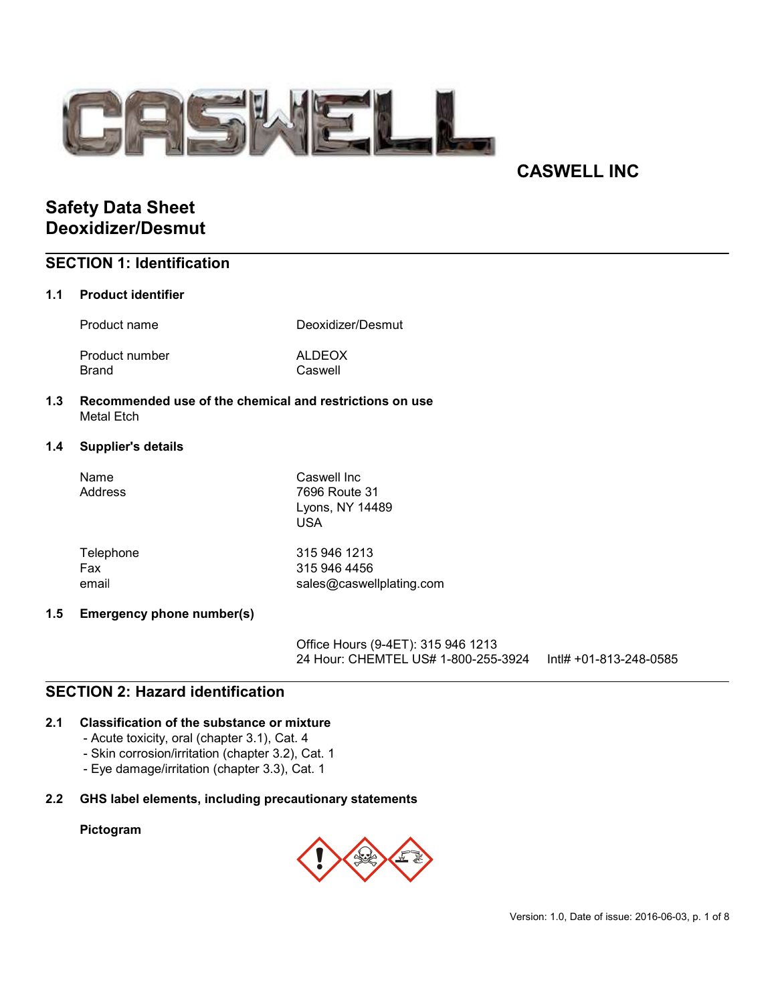

# CASWELL INC

# Safety Data Sheet Deoxidizer/Desmut

## SECTION 1: Identification

#### 1.1 Product identifier

Product name **Deoxidizer/Desmut** 

Product number ALDEOX Brand Caswell

1.3 Recommended use of the chemical and restrictions on use Metal Etch

#### 1.4 Supplier's details

| Name<br>Address | Caswell Inc<br>7696 Route 31<br>Lyons, NY 14489<br>USA |
|-----------------|--------------------------------------------------------|
| Telephone       | 315 946 1213                                           |
| Fax             | 315 946 4456                                           |
| email           | sales@caswellplating.com                               |

#### 1.5 Emergency phone number(s)

Office Hours (9-4ET): 315 946 1213 24 Hour: CHEMTEL US# 1-800-255-3924 Intl# +01-813-248-0585

## SECTION 2: Hazard identification

#### 2.1 Classification of the substance or mixture

- Acute toxicity, oral (chapter 3.1), Cat. 4
- Skin corrosion/irritation (chapter 3.2), Cat. 1
- Eye damage/irritation (chapter 3.3), Cat. 1

#### 2.2 GHS label elements, including precautionary statements

#### Pictogram

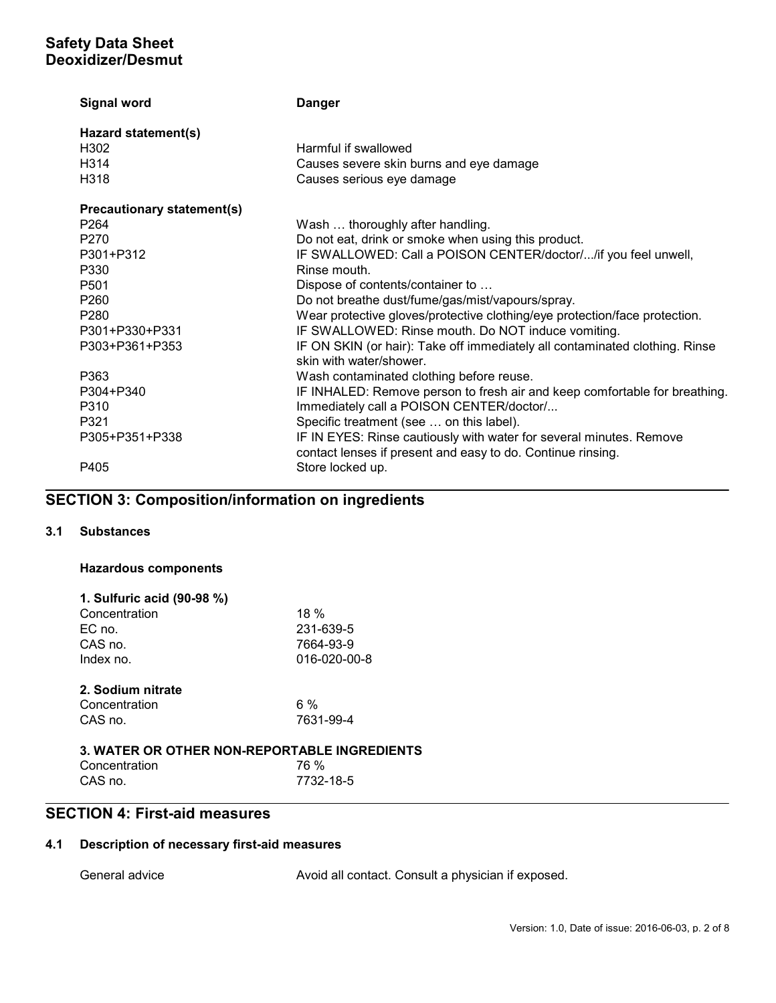| <b>Signal word</b>                | <b>Danger</b>                                                                                                                      |
|-----------------------------------|------------------------------------------------------------------------------------------------------------------------------------|
| Hazard statement(s)               |                                                                                                                                    |
| H302                              | Harmful if swallowed                                                                                                               |
| H314                              | Causes severe skin burns and eye damage                                                                                            |
| H318                              | Causes serious eye damage                                                                                                          |
| <b>Precautionary statement(s)</b> |                                                                                                                                    |
| P <sub>264</sub>                  | Wash  thoroughly after handling.                                                                                                   |
| P270                              | Do not eat, drink or smoke when using this product.                                                                                |
| P301+P312                         | IF SWALLOWED: Call a POISON CENTER/doctor//if you feel unwell,                                                                     |
| P330                              | Rinse mouth.                                                                                                                       |
| P <sub>501</sub>                  | Dispose of contents/container to                                                                                                   |
| P <sub>260</sub>                  | Do not breathe dust/fume/gas/mist/vapours/spray.                                                                                   |
| P280                              | Wear protective gloves/protective clothing/eye protection/face protection.                                                         |
| P301+P330+P331                    | IF SWALLOWED: Rinse mouth. Do NOT induce vomiting.                                                                                 |
| P303+P361+P353                    | IF ON SKIN (or hair): Take off immediately all contaminated clothing. Rinse<br>skin with water/shower.                             |
| P363                              | Wash contaminated clothing before reuse.                                                                                           |
| P304+P340                         | IF INHALED: Remove person to fresh air and keep comfortable for breathing.                                                         |
| P310                              | Immediately call a POISON CENTER/doctor/                                                                                           |
| P321                              | Specific treatment (see  on this label).                                                                                           |
| P305+P351+P338                    | IF IN EYES: Rinse cautiously with water for several minutes. Remove<br>contact lenses if present and easy to do. Continue rinsing. |
| P405                              | Store locked up.                                                                                                                   |

# SECTION 3: Composition/information on ingredients

## 3.1 Substances

#### Hazardous components

| 1. Sulfuric acid (90-98 %)                   |              |  |
|----------------------------------------------|--------------|--|
| Concentration                                | 18%          |  |
| EC no.                                       | 231-639-5    |  |
| CAS no.                                      | 7664-93-9    |  |
| Index no.                                    | 016-020-00-8 |  |
|                                              |              |  |
| 2. Sodium nitrate                            |              |  |
| Concentration                                | 6 %          |  |
| CAS no.                                      | 7631-99-4    |  |
|                                              |              |  |
| 3. WATER OR OTHER NON-REPORTABLE INGREDIENTS |              |  |

| <u>J. WATER OR OTHER NON-REFORTABLE INGREDIENT</u> |           |  |
|----------------------------------------------------|-----------|--|
| Concentration                                      | 76 %      |  |
| CAS no.                                            | 7732-18-5 |  |

## SECTION 4: First-aid measures

## 4.1 Description of necessary first-aid measures

General advice **Avoid all contact.** Consult a physician if exposed.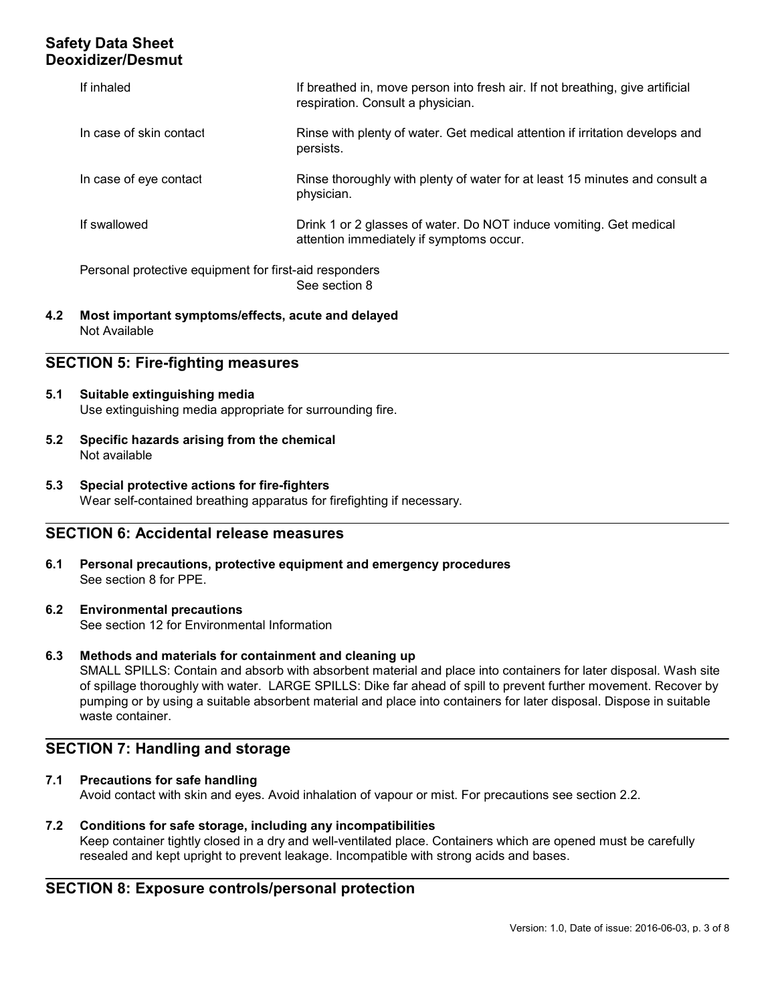| If inhaled                                             | If breathed in, move person into fresh air. If not breathing, give artificial<br>respiration. Consult a physician. |
|--------------------------------------------------------|--------------------------------------------------------------------------------------------------------------------|
| In case of skin contact                                | Rinse with plenty of water. Get medical attention if irritation develops and<br>persists.                          |
| In case of eye contact                                 | Rinse thoroughly with plenty of water for at least 15 minutes and consult a<br>physician.                          |
| If swallowed                                           | Drink 1 or 2 glasses of water. Do NOT induce vomiting. Get medical<br>attention immediately if symptoms occur.     |
| Personal protective equipment for first-aid responders | See section 8                                                                                                      |

4.2 Most important symptoms/effects, acute and delayed Not Available

## SECTION 5: Fire-fighting measures

- 5.1 Suitable extinguishing media Use extinguishing media appropriate for surrounding fire.
- 5.2 Specific hazards arising from the chemical Not available
- 5.3 Special protective actions for fire-fighters Wear self-contained breathing apparatus for firefighting if necessary.

#### SECTION 6: Accidental release measures

- 6.1 Personal precautions, protective equipment and emergency procedures See section 8 for PPE.
- 6.2 Environmental precautions See section 12 for Environmental Information
- 6.3 Methods and materials for containment and cleaning up

SMALL SPILLS: Contain and absorb with absorbent material and place into containers for later disposal. Wash site of spillage thoroughly with water. LARGE SPILLS: Dike far ahead of spill to prevent further movement. Recover by pumping or by using a suitable absorbent material and place into containers for later disposal. Dispose in suitable waste container.

#### SECTION 7: Handling and storage

#### 7.1 Precautions for safe handling

Avoid contact with skin and eyes. Avoid inhalation of vapour or mist. For precautions see section 2.2.

7.2 Conditions for safe storage, including any incompatibilities Keep container tightly closed in a dry and well-ventilated place. Containers which are opened must be carefully resealed and kept upright to prevent leakage. Incompatible with strong acids and bases.

## SECTION 8: Exposure controls/personal protection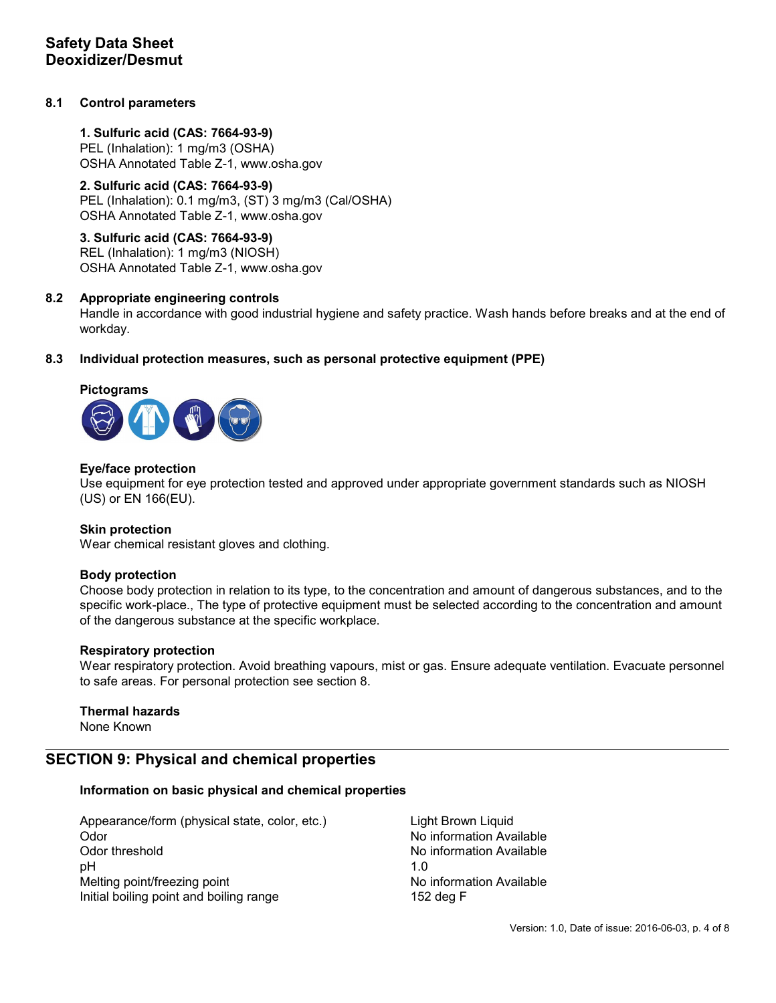#### 8.1 Control parameters

1. Sulfuric acid (CAS: 7664-93-9) PEL (Inhalation): 1 mg/m3 (OSHA) OSHA Annotated Table Z-1, www.osha.gov

# 2. Sulfuric acid (CAS: 7664-93-9)

PEL (Inhalation): 0.1 mg/m3, (ST) 3 mg/m3 (Cal/OSHA) OSHA Annotated Table Z-1, www.osha.gov

3. Sulfuric acid (CAS: 7664-93-9) REL (Inhalation): 1 mg/m3 (NIOSH) OSHA Annotated Table Z-1, www.osha.gov

#### 8.2 Appropriate engineering controls

Handle in accordance with good industrial hygiene and safety practice. Wash hands before breaks and at the end of workday.

#### 8.3 Individual protection measures, such as personal protective equipment (PPE)

#### Pictograms



#### Eye/face protection

Use equipment for eye protection tested and approved under appropriate government standards such as NIOSH (US) or EN 166(EU).

#### Skin protection

Wear chemical resistant gloves and clothing.

#### Body protection

Choose body protection in relation to its type, to the concentration and amount of dangerous substances, and to the specific work-place., The type of protective equipment must be selected according to the concentration and amount of the dangerous substance at the specific workplace.

#### Respiratory protection

Wear respiratory protection. Avoid breathing vapours, mist or gas. Ensure adequate ventilation. Evacuate personnel to safe areas. For personal protection see section 8.

#### Thermal hazards

None Known

## SECTION 9: Physical and chemical properties

#### Information on basic physical and chemical properties

Appearance/form (physical state, color, etc.) Light Brown Liquid Odor No information Available Company of the Contract of the No information Available Odor threshold No information Available pH 1.0 Melting point/freezing point No information Available Initial boiling point and boiling range 152 deg F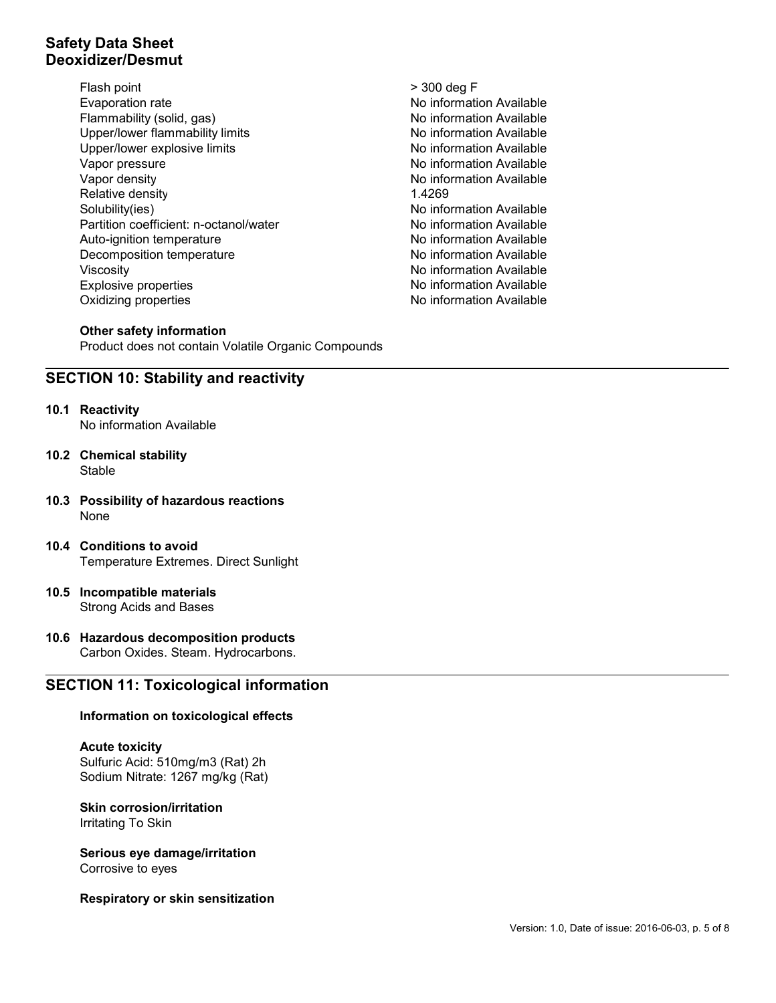- Flash point  $>$  300 deg F Evaporation rate **No information Available** No information Available Flammability (solid, gas) Moinformation Available Upper/lower flammability limits No information Available Upper/lower explosive limits Noirel and Noirel Noirel Available Vapor pressure No information Available No information Available Vapor density Notation Available Note that the North Available Note that the North Available Relative density 1.4269 Solubility(ies) No information Available Partition coefficient: n-octanol/water No information Available Auto-ignition temperature Noire and Available Noire Noire Noire Available Decomposition temperature **No information Available** No information Available Viscosity **No. 2018** Viscosity **No. 2018** Viscosity **No. 2019** No. 2019 No. 2019 No. 2019 No. 2019 No. 2019 No. 2019 No. 2019 No. 2019 No. 2019 No. 2019 No. 2019 No. 2019 No. 2019 No. 2019 No. 2019 No. 2019 No. 2019 No. 20 Explosive properties No information Available Oxidizing properties and a set of the Mondo No information Available
- 

#### Other safety information

Product does not contain Volatile Organic Compounds

## SECTION 10: Stability and reactivity

#### 10.1 Reactivity

No information Available

- 10.2 Chemical stability **Stable**
- 10.3 Possibility of hazardous reactions None
- 10.4 Conditions to avoid Temperature Extremes. Direct Sunlight
- 10.5 Incompatible materials Strong Acids and Bases

#### 10.6 Hazardous decomposition products Carbon Oxides. Steam. Hydrocarbons.

## SECTION 11: Toxicological information

#### Information on toxicological effects

#### Acute toxicity

Sulfuric Acid: 510mg/m3 (Rat) 2h Sodium Nitrate: 1267 mg/kg (Rat)

# Skin corrosion/irritation

Irritating To Skin

#### Serious eye damage/irritation

Corrosive to eyes

#### Respiratory or skin sensitization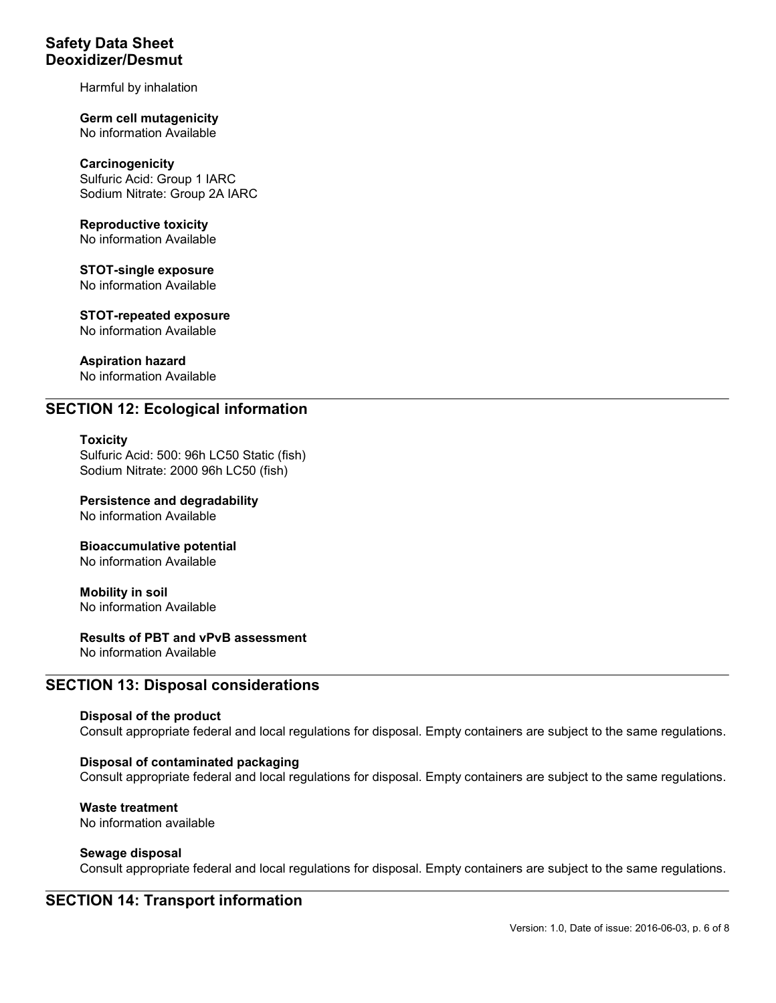Harmful by inhalation

Germ cell mutagenicity No information Available

**Carcinogenicity** Sulfuric Acid: Group 1 IARC Sodium Nitrate: Group 2A IARC

Reproductive toxicity No information Available

STOT-single exposure No information Available

STOT-repeated exposure No information Available

Aspiration hazard No information Available

## SECTION 12: Ecological information

#### **Toxicity**

Sulfuric Acid: 500: 96h LC50 Static (fish) Sodium Nitrate: 2000 96h LC50 (fish)

Persistence and degradability No information Available

Bioaccumulative potential No information Available

Mobility in soil No information Available

Results of PBT and vPvB assessment

No information Available

## SECTION 13: Disposal considerations

#### Disposal of the product

Consult appropriate federal and local regulations for disposal. Empty containers are subject to the same regulations.

#### Disposal of contaminated packaging

Consult appropriate federal and local regulations for disposal. Empty containers are subject to the same regulations.

Waste treatment No information available

#### Sewage disposal

Consult appropriate federal and local regulations for disposal. Empty containers are subject to the same regulations.

## SECTION 14: Transport information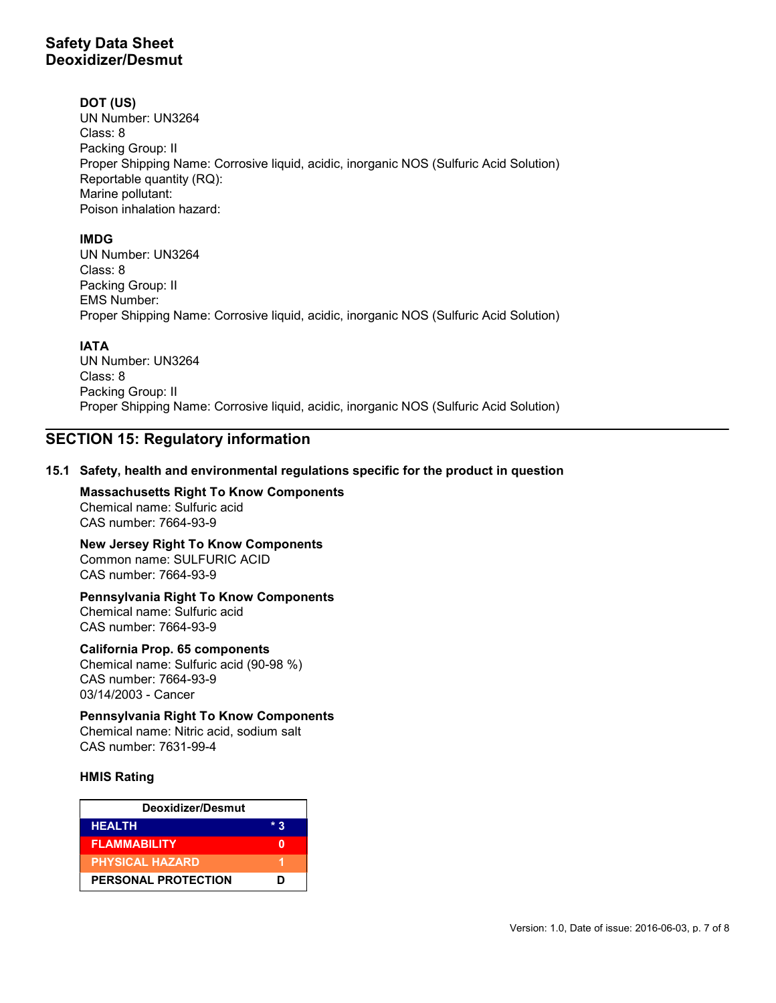#### DOT (US)

UN Number: UN3264 Class: 8 Packing Group: II Proper Shipping Name: Corrosive liquid, acidic, inorganic NOS (Sulfuric Acid Solution) Reportable quantity (RQ): Marine pollutant: Poison inhalation hazard:

## IMDG

UN Number: UN3264 Class: 8 Packing Group: II EMS Number: Proper Shipping Name: Corrosive liquid, acidic, inorganic NOS (Sulfuric Acid Solution)

## IATA

UN Number: UN3264 Class: 8 Packing Group: II Proper Shipping Name: Corrosive liquid, acidic, inorganic NOS (Sulfuric Acid Solution)

# SECTION 15: Regulatory information

#### 15.1 Safety, health and environmental regulations specific for the product in question

Massachusetts Right To Know Components Chemical name: Sulfuric acid CAS number: 7664-93-9

New Jersey Right To Know Components Common name: SULFURIC ACID CAS number: 7664-93-9

# Pennsylvania Right To Know Components

Chemical name: Sulfuric acid CAS number: 7664-93-9

#### California Prop. 65 components

Chemical name: Sulfuric acid (90-98 %) CAS number: 7664-93-9 03/14/2003 - Cancer

#### Pennsylvania Right To Know Components

Chemical name: Nitric acid, sodium salt CAS number: 7631-99-4

#### HMIS Rating

| Deoxidizer/Desmut          |     |  |
|----------------------------|-----|--|
| <b>HEALTH</b>              | * ? |  |
| <b>FLAMMABILITY</b>        |     |  |
| <b>PHYSICAL HAZARD</b>     |     |  |
| <b>PERSONAL PROTECTION</b> | ח   |  |